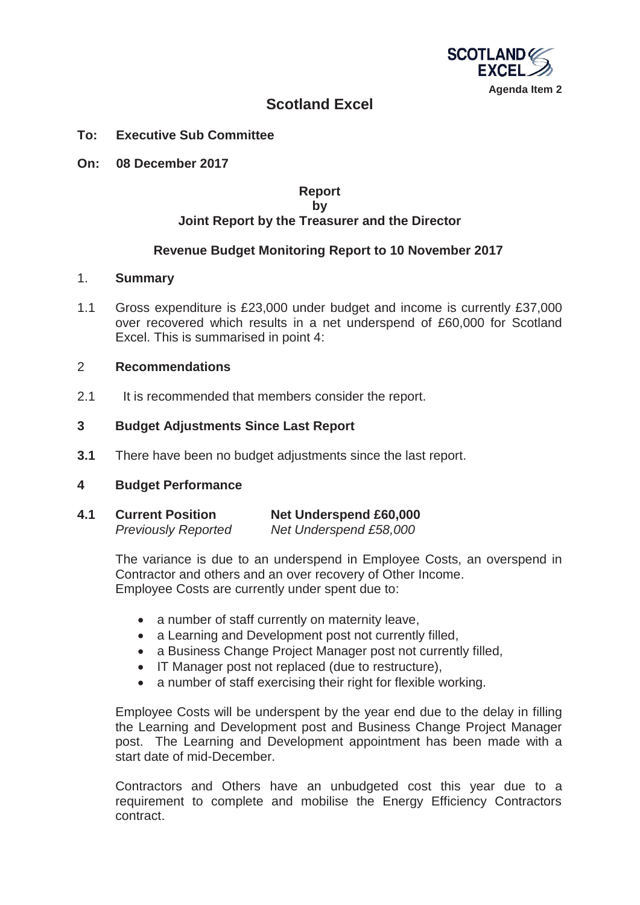

# **Scotland Excel**

- **To: Executive Sub Committee**
- **On: 08 December 2017**

#### **Report by Joint Report by the Treasurer and the Director**

### **Revenue Budget Monitoring Report to 10 November 2017**

#### 1. **Summary**

1.1 Gross expenditure is £23,000 under budget and income is currently £37,000 over recovered which results in a net underspend of £60,000 for Scotland Excel. This is summarised in point 4:

#### 2 **Recommendations**

2.1 It is recommended that members consider the report.

#### **3 Budget Adjustments Since Last Report**

**3.1** There have been no budget adjustments since the last report.

#### **4 Budget Performance**

**4.1 Current Position Net Underspend £60,000**   *Previously Reported Net Underspend £58,000* 

> The variance is due to an underspend in Employee Costs, an overspend in Contractor and others and an over recovery of Other Income. Employee Costs are currently under spent due to:

- a number of staff currently on maternity leave.
- a Learning and Development post not currently filled,
- a Business Change Project Manager post not currently filled,
- IT Manager post not replaced (due to restructure),
- a number of staff exercising their right for flexible working.

Employee Costs will be underspent by the year end due to the delay in filling the Learning and Development post and Business Change Project Manager post. The Learning and Development appointment has been made with a start date of mid-December.

Contractors and Others have an unbudgeted cost this year due to a requirement to complete and mobilise the Energy Efficiency Contractors contract.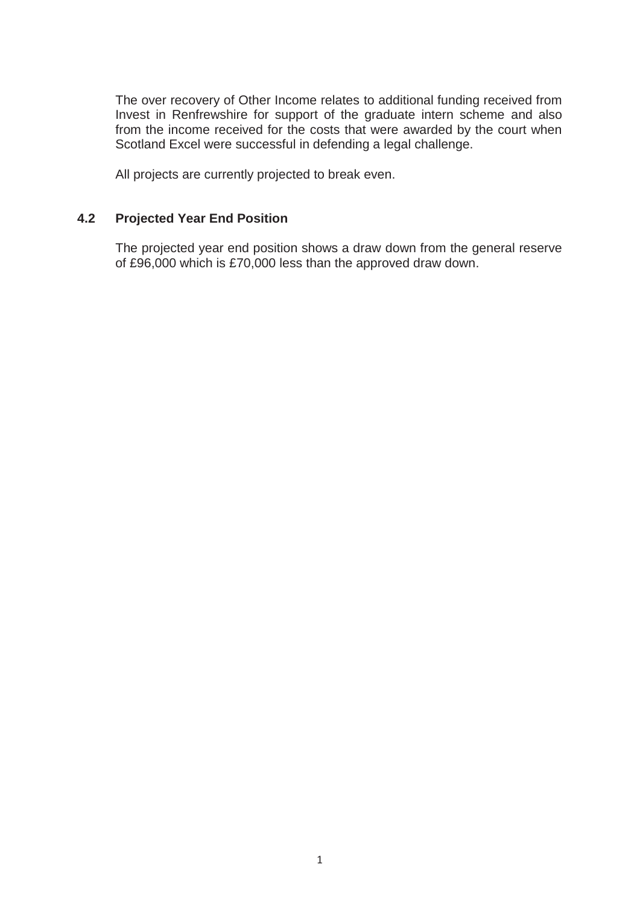The over recovery of Other Income relates to additional funding received from Invest in Renfrewshire for support of the graduate intern scheme and also from the income received for the costs that were awarded by the court when Scotland Excel were successful in defending a legal challenge.

All projects are currently projected to break even.

## **4.2 Projected Year End Position**

The projected year end position shows a draw down from the general reserve of £96,000 which is £70,000 less than the approved draw down.